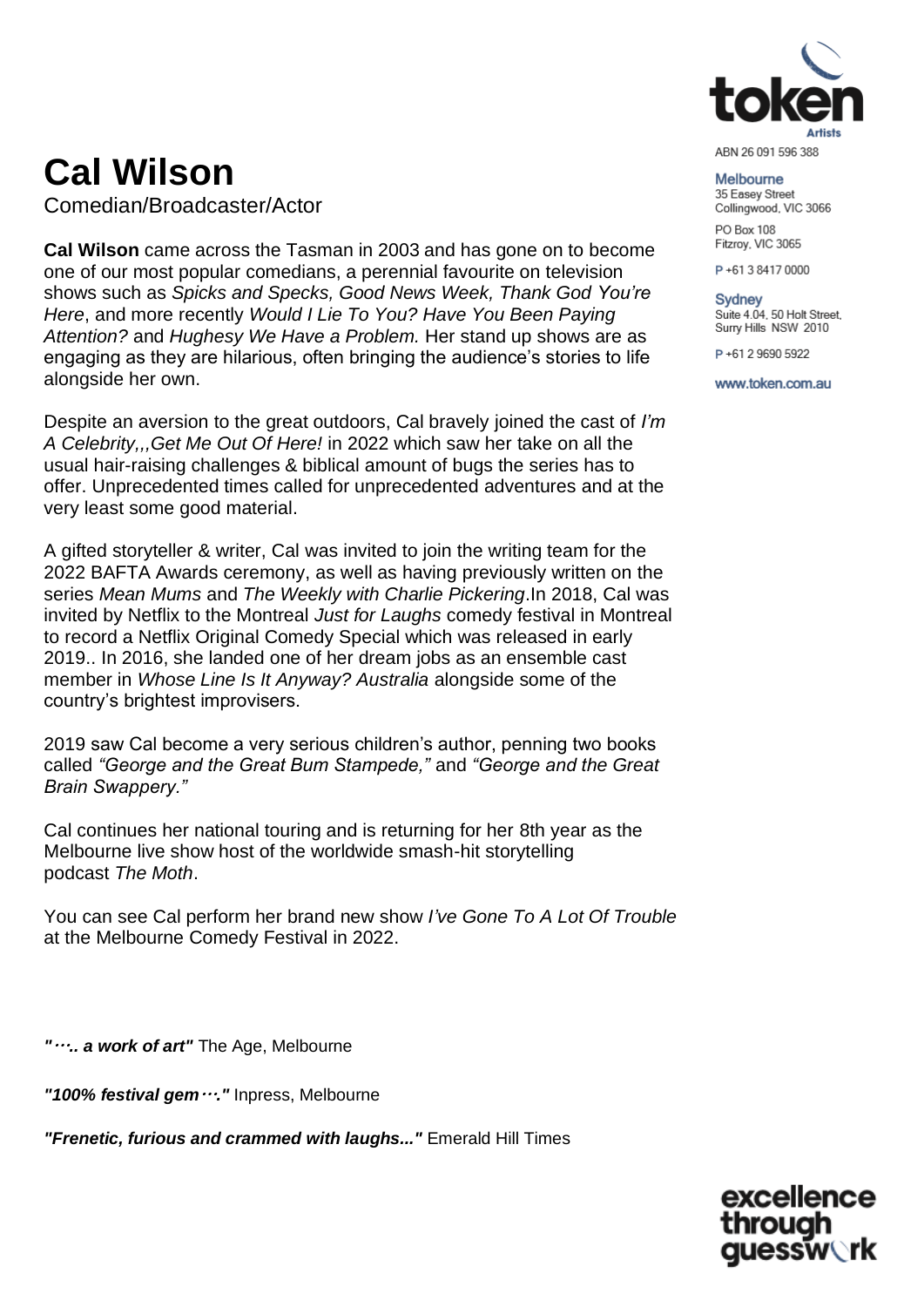

# **Cal Wilson**

Comedian/Broadcaster/Actor

**Cal Wilson** came across the Tasman in 2003 and has gone on to become one of our most popular comedians, a perennial favourite on television shows such as *Spicks and Specks, Good News Week, Thank God You're Here*, and more recently *Would I Lie To You? Have You Been Paying Attention?* and *Hughesy We Have a Problem.* Her stand up shows are as engaging as they are hilarious, often bringing the audience's stories to life alongside her own.

Despite an aversion to the great outdoors, Cal bravely joined the cast of *I'm A Celebrity,,,Get Me Out Of Here!* in 2022 which saw her take on all the usual hair-raising challenges & biblical amount of bugs the series has to offer. Unprecedented times called for unprecedented adventures and at the very least some good material.

A gifted storyteller & writer, Cal was invited to join the writing team for the 2022 BAFTA Awards ceremony, as well as having previously written on the series *Mean Mums* and *The Weekly with Charlie Pickering*.In 2018, Cal was invited by Netflix to the Montreal *Just for Laughs* comedy festival in Montreal to record a Netflix Original Comedy Special which was released in early 2019.. In 2016, she landed one of her dream jobs as an ensemble cast member in *Whose Line Is It Anyway? Australia* alongside some of the country's brightest improvisers.

2019 saw Cal become a very serious children's author, penning two books called *"George and the Great Bum Stampede,"* and *"George and the Great Brain Swappery."*

Cal continues her national touring and is returning for her 8th year as the Melbourne live show host of the worldwide smash-hit storytelling podcast *The Moth*.

You can see Cal perform her brand new show *I've Gone To A Lot Of Trouble* at the Melbourne Comedy Festival in 2022.

*"***…***.. a work of art"* The Age, Melbourne

*"100% festival gem***…***."* Inpress, Melbourne

*"Frenetic, furious and crammed with laughs..."* Emerald Hill Times

Melbourne

35 Easev Street Collingwood, VIC 3066

PO Box 108 Fitzroy, VIC 3065

P+61384170000

**Sydney** 

Suite 4.04, 50 Holt Street, Surry Hills NSW 2010

P+61 2 9690 5922

www.token.com.au

excellence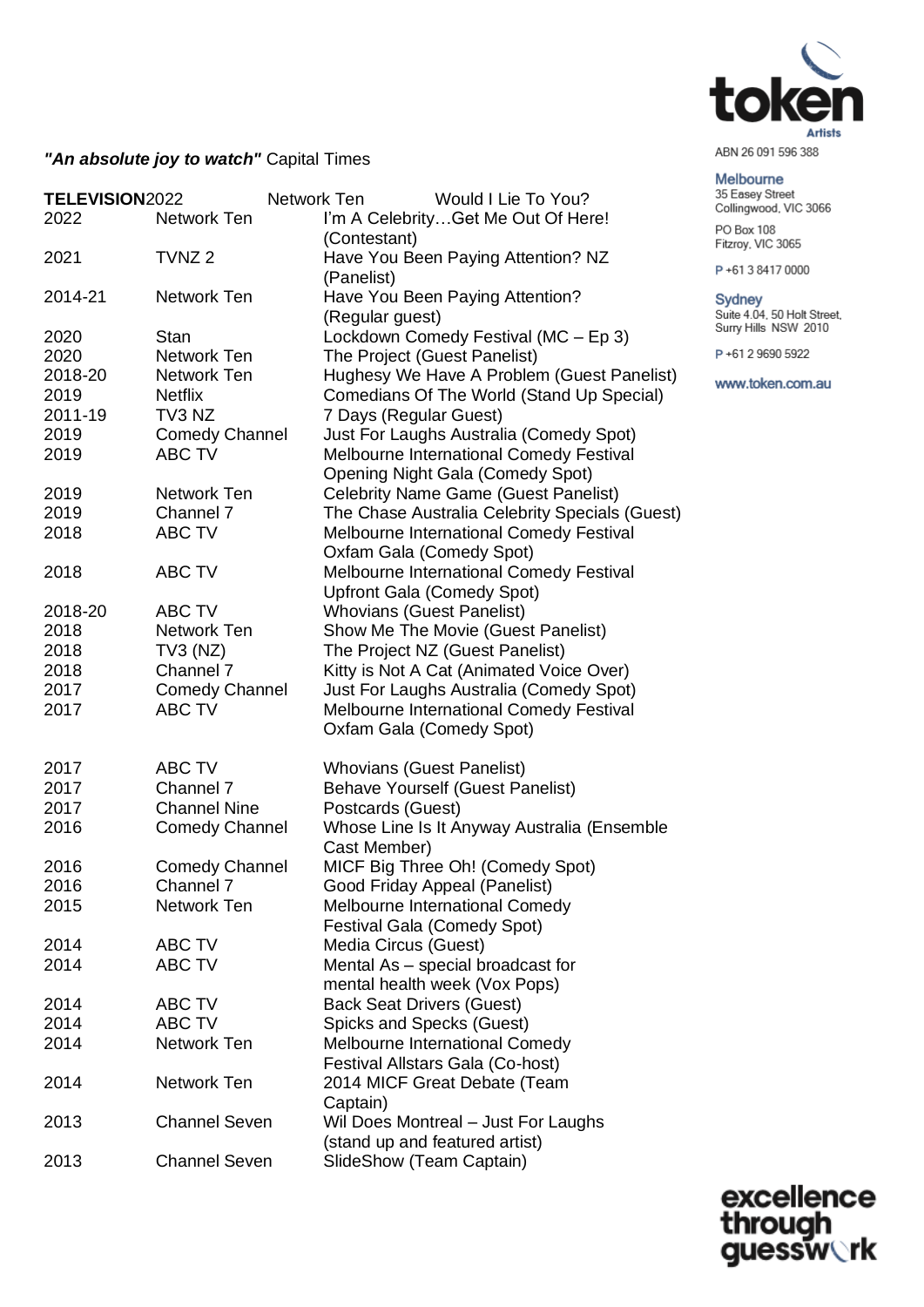

#### Melbourne

35 Easey Street<br>Collingwood, VIC 3066

PO Box 108 Fitzroy, VIC 3065

P+61384170000

Sydney Suite 4.04, 50 Holt Street,<br>Surry Hills NSW 2010

P+61 2 9690 5922

www.token.com.au

# "An absolute joy to watch" Capital Times

| TELEVISION2022 |                       | Network Ten |                                                                                    | Would I Lie To You?                            |
|----------------|-----------------------|-------------|------------------------------------------------------------------------------------|------------------------------------------------|
| 2022           | Network Ten           |             | I'm A CelebrityGet Me Out Of Here!                                                 |                                                |
|                |                       |             | (Contestant)                                                                       |                                                |
| 2021           | TVNZ <sub>2</sub>     |             | Have You Been Paying Attention? NZ<br>(Panelist)                                   |                                                |
| 2014-21        | Network Ten           |             | Have You Been Paying Attention?                                                    |                                                |
|                |                       |             | (Regular guest)                                                                    |                                                |
| 2020           | <b>Stan</b>           |             | Lockdown Comedy Festival (MC - Ep 3)                                               |                                                |
| 2020           | Network Ten           |             | The Project (Guest Panelist)                                                       |                                                |
| 2018-20        | Network Ten           |             |                                                                                    | Hughesy We Have A Problem (Guest Panelist)     |
| 2019           | <b>Netflix</b>        |             |                                                                                    | Comedians Of The World (Stand Up Special)      |
| 2011-19        | TV3 NZ                |             | 7 Days (Regular Guest)                                                             |                                                |
| 2019           | <b>Comedy Channel</b> |             | Just For Laughs Australia (Comedy Spot)                                            |                                                |
| 2019           | <b>ABC TV</b>         |             | Melbourne International Comedy Festival<br><b>Opening Night Gala (Comedy Spot)</b> |                                                |
| 2019           | Network Ten           |             | <b>Celebrity Name Game (Guest Panelist)</b>                                        |                                                |
| 2019           | Channel 7             |             |                                                                                    | The Chase Australia Celebrity Specials (Guest) |
| 2018           | <b>ABC TV</b>         |             | Melbourne International Comedy Festival                                            |                                                |
|                |                       |             | Oxfam Gala (Comedy Spot)                                                           |                                                |
| 2018           | <b>ABC TV</b>         |             | Melbourne International Comedy Festival                                            |                                                |
|                |                       |             | <b>Upfront Gala (Comedy Spot)</b>                                                  |                                                |
| 2018-20        | ABC TV                |             | <b>Whovians (Guest Panelist)</b>                                                   |                                                |
| 2018           | Network Ten           |             | Show Me The Movie (Guest Panelist)                                                 |                                                |
| 2018           | $TV3$ (NZ)            |             | The Project NZ (Guest Panelist)                                                    |                                                |
| 2018           | Channel 7             |             | Kitty is Not A Cat (Animated Voice Over)                                           |                                                |
| 2017           | <b>Comedy Channel</b> |             | Just For Laughs Australia (Comedy Spot)                                            |                                                |
| 2017           | <b>ABC TV</b>         |             | Melbourne International Comedy Festival                                            |                                                |
|                |                       |             | Oxfam Gala (Comedy Spot)                                                           |                                                |
| 2017           | ABC TV                |             | <b>Whovians (Guest Panelist)</b>                                                   |                                                |
| 2017           | Channel 7             |             | <b>Behave Yourself (Guest Panelist)</b>                                            |                                                |
| 2017           | <b>Channel Nine</b>   |             | Postcards (Guest)                                                                  |                                                |
| 2016           | <b>Comedy Channel</b> |             |                                                                                    | Whose Line Is It Anyway Australia (Ensemble    |
|                |                       |             | Cast Member)                                                                       |                                                |
| 2016           | <b>Comedy Channel</b> |             | MICF Big Three Oh! (Comedy Spot)                                                   |                                                |
| 2016           | <b>Channel 7</b>      |             | Good Friday Appeal (Panelist)                                                      |                                                |
| 2015           | Network Ten           |             | <b>Melbourne International Comedy</b>                                              |                                                |
|                |                       |             | <b>Festival Gala (Comedy Spot)</b>                                                 |                                                |
| 2014           | ABC TV                |             | Media Circus (Guest)                                                               |                                                |
| 2014           | ABC TV                |             | Mental As - special broadcast for<br>mental health week (Vox Pops)                 |                                                |
| 2014           | ABC TV                |             | <b>Back Seat Drivers (Guest)</b>                                                   |                                                |
| 2014           | ABC TV                |             | Spicks and Specks (Guest)                                                          |                                                |
| 2014           | Network Ten           |             | <b>Melbourne International Comedy</b>                                              |                                                |
|                |                       |             | Festival Allstars Gala (Co-host)                                                   |                                                |
| 2014           | Network Ten           |             | 2014 MICF Great Debate (Team                                                       |                                                |
|                |                       |             | Captain)                                                                           |                                                |
| 2013           | <b>Channel Seven</b>  |             | Wil Does Montreal - Just For Laughs                                                |                                                |
|                |                       |             | (stand up and featured artist)                                                     |                                                |
| 2013           | <b>Channel Seven</b>  |             | SlideShow (Team Captain)                                                           |                                                |

excellence<br>through<br>guessw**ork**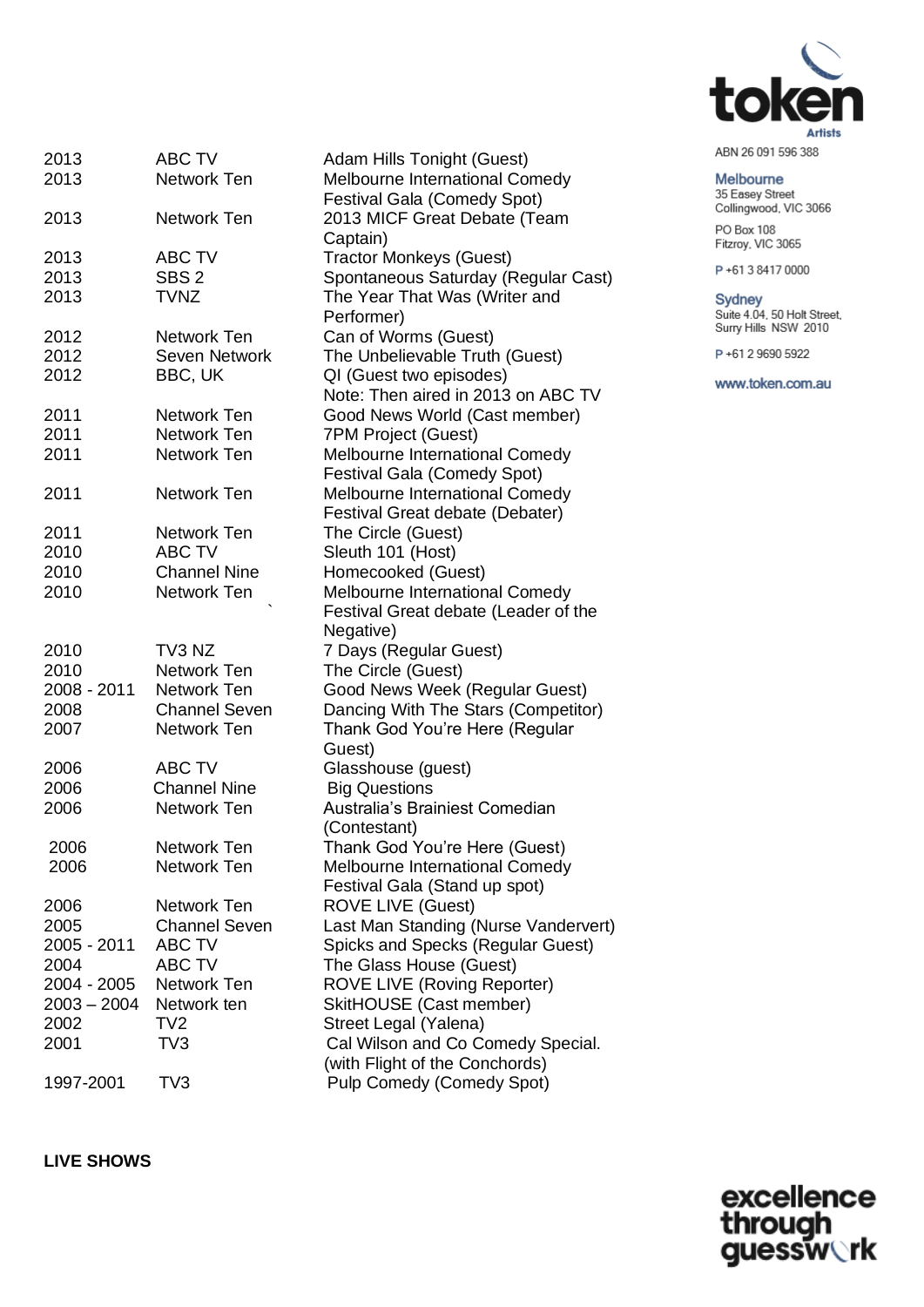

### Melbourne

35 Easey Street<br>Collingwood, VIC 3066

PO Box 108 Fitzroy, VIC 3065

P+61384170000

## Sydney

Suite 4.04, 50 Holt Street,<br>Surry Hills NSW 2010

P+61 2 9690 5922

www.token.com.au

| 2013          | <b>ABC TV</b>        | Adam Hills Tonight (Guest)           |
|---------------|----------------------|--------------------------------------|
| 2013          | Network Ten          | Melbourne International Comedy       |
|               |                      | <b>Festival Gala (Comedy Spot)</b>   |
| 2013          | Network Ten          | 2013 MICF Great Debate (Team         |
|               |                      | Captain)                             |
| 2013          | <b>ABC TV</b>        | <b>Tractor Monkeys (Guest)</b>       |
| 2013          | SBS <sub>2</sub>     | Spontaneous Saturday (Regular Cast)  |
| 2013          | <b>TVNZ</b>          | The Year That Was (Writer and        |
|               |                      | Performer)                           |
| 2012          | Network Ten          | Can of Worms (Guest)                 |
| 2012          | Seven Network        | The Unbelievable Truth (Guest)       |
| 2012          | BBC, UK              | QI (Guest two episodes)              |
|               |                      | Note: Then aired in 2013 on ABC TV   |
|               |                      |                                      |
| 2011          | Network Ten          | Good News World (Cast member)        |
| 2011          | Network Ten          | 7PM Project (Guest)                  |
| 2011          | Network Ten          | Melbourne International Comedy       |
|               |                      | <b>Festival Gala (Comedy Spot)</b>   |
| 2011          | Network Ten          | Melbourne International Comedy       |
|               |                      | Festival Great debate (Debater)      |
| 2011          | Network Ten          | The Circle (Guest)                   |
| 2010          | <b>ABC TV</b>        | Sleuth 101 (Host)                    |
| 2010          | <b>Channel Nine</b>  | Homecooked (Guest)                   |
| 2010          | Network Ten          | Melbourne International Comedy       |
|               |                      | Festival Great debate (Leader of the |
|               |                      | Negative)                            |
| 2010          | TV3 NZ               | 7 Days (Regular Guest)               |
| 2010          | Network Ten          | The Circle (Guest)                   |
| 2008 - 2011   | Network Ten          | Good News Week (Regular Guest)       |
| 2008          | <b>Channel Seven</b> | Dancing With The Stars (Competitor)  |
| 2007          | <b>Network Ten</b>   | Thank God You're Here (Regular       |
|               |                      | Guest)                               |
| 2006          | <b>ABC TV</b>        | Glasshouse (guest)                   |
| 2006          | <b>Channel Nine</b>  | <b>Big Questions</b>                 |
| 2006          | Network Ten          | Australia's Brainiest Comedian       |
|               |                      | (Contestant)                         |
| 2006          | Network Ten          | Thank God You're Here (Guest)        |
| 2006          | Network Ten          | Melbourne International Comedy       |
|               |                      | Festival Gala (Stand up spot)        |
| 2006          | Network Ten          | <b>ROVE LIVE (Guest)</b>             |
| 2005          | <b>Channel Seven</b> | Last Man Standing (Nurse Vandervert) |
| 2005 - 2011   | ABC TV               | Spicks and Specks (Regular Guest)    |
| 2004          | ABC TV               | The Glass House (Guest)              |
| 2004 - 2005   | Network Ten          | <b>ROVE LIVE (Roving Reporter)</b>   |
| $2003 - 2004$ | Network ten          | SkitHOUSE (Cast member)              |
| 2002          | TV <sub>2</sub>      | Street Legal (Yalena)                |
| 2001          | TV <sub>3</sub>      | Cal Wilson and Co Comedy Special.    |
|               |                      | (with Flight of the Conchords)       |
| 1997-2001     | TV <sub>3</sub>      | Pulp Comedy (Comedy Spot)            |
|               |                      |                                      |

**LIVE SHOWS** 

excellence<br>through<br>guessw**ork**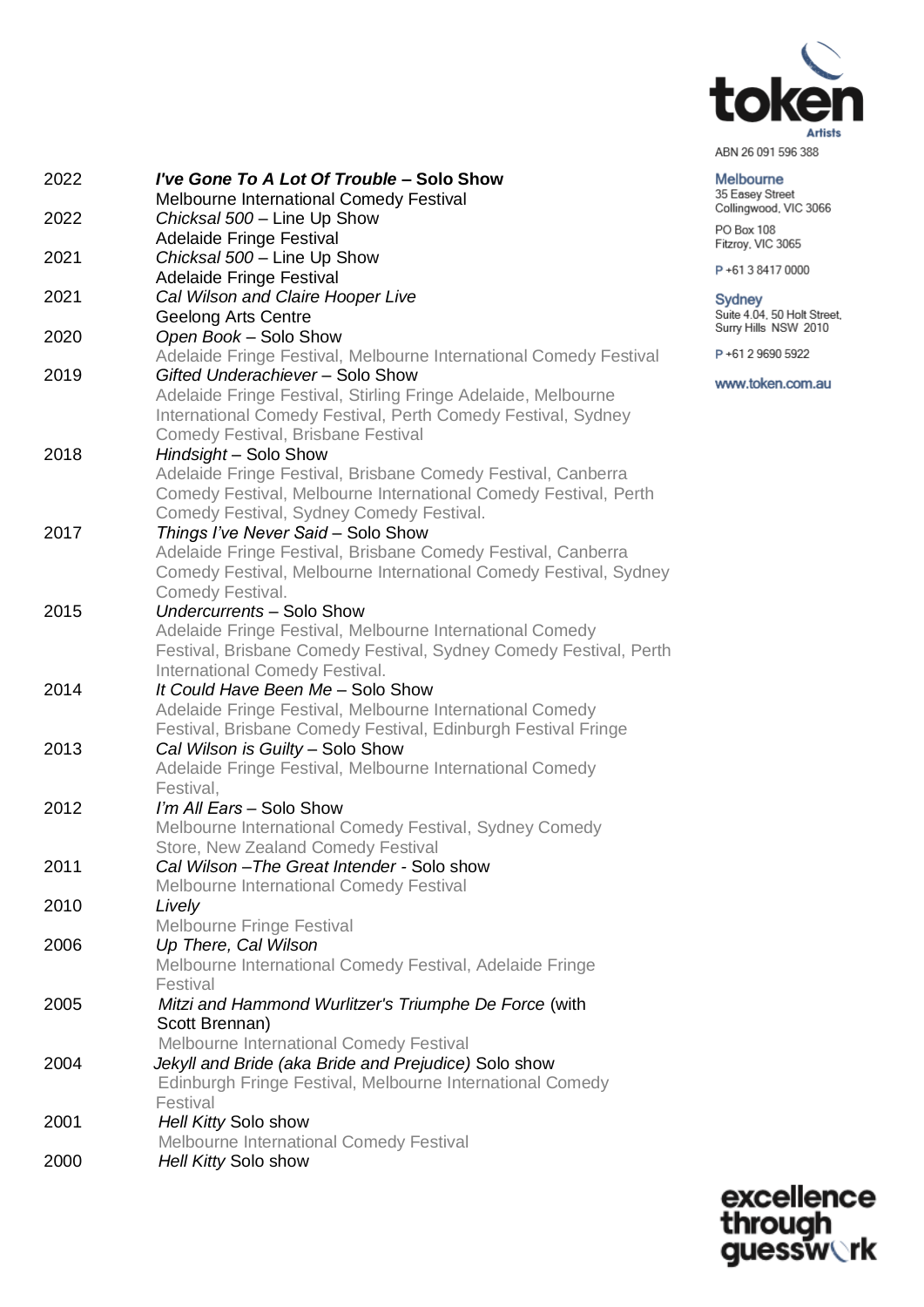

35 Easey Street<br>Collingwood, VIC 3066

Melbourne

PO Box 108<br>Fitzroy, VIC 3065

P+61384170000

P+61 2 9690 5922

www.token.com.au

Sydney<br>Suite 4.04, 50 Holt Street,<br>Surry Hills NSW 2010

| 2022 | I've Gone To A Lot Of Trouble - Solo Show                         |
|------|-------------------------------------------------------------------|
|      | Melbourne International Comedy Festival                           |
| 2022 | Chicksal 500 - Line Up Show                                       |
|      | <b>Adelaide Fringe Festival</b>                                   |
| 2021 | Chicksal 500 - Line Up Show                                       |
|      | <b>Adelaide Fringe Festival</b>                                   |
| 2021 | Cal Wilson and Claire Hooper Live                                 |
|      | <b>Geelong Arts Centre</b>                                        |
| 2020 | Open Book - Solo Show                                             |
|      | Adelaide Fringe Festival, Melbourne International Comedy Festival |
| 2019 | Gifted Underachiever - Solo Show                                  |
|      | Adelaide Fringe Festival, Stirling Fringe Adelaide, Melbourne     |
|      | International Comedy Festival, Perth Comedy Festival, Sydney      |
|      | <b>Comedy Festival, Brisbane Festival</b>                         |
| 2018 | Hindsight - Solo Show                                             |
|      | Adelaide Fringe Festival, Brisbane Comedy Festival, Canberra      |
|      | Comedy Festival, Melbourne International Comedy Festival, Perth   |
|      | Comedy Festival, Sydney Comedy Festival.                          |
| 2017 | Things I've Never Said - Solo Show                                |
|      | Adelaide Fringe Festival, Brisbane Comedy Festival, Canberra      |
|      | Comedy Festival, Melbourne International Comedy Festival, Sydney  |
|      | Comedy Festival.                                                  |
| 2015 | Undercurrents - Solo Show                                         |
|      | Adelaide Fringe Festival, Melbourne International Comedy          |
|      | Festival, Brisbane Comedy Festival, Sydney Comedy Festival, Perth |
|      | International Comedy Festival.                                    |
| 2014 | It Could Have Been Me - Solo Show                                 |
|      | Adelaide Fringe Festival, Melbourne International Comedy          |
|      | Festival, Brisbane Comedy Festival, Edinburgh Festival Fringe     |
| 2013 | Cal Wilson is Guilty - Solo Show                                  |
|      | Adelaide Fringe Festival, Melbourne International Comedy          |
|      | Festival.                                                         |
| 2012 | I'm All Ears - Solo Show                                          |
|      | Melbourne International Comedy Festival, Sydney Comedy            |
|      | Store, New Zealand Comedy Festival                                |
| 2011 | Cal Wilson-The Great Intender - Solo show                         |
|      | Melbourne International Comedy Festival                           |
| 2010 | Lively                                                            |
|      | <b>Melbourne Fringe Festival</b>                                  |
| 2006 | Up There, Cal Wilson                                              |
|      | Melbourne International Comedy Festival, Adelaide Fringe          |
|      | Festival                                                          |
| 2005 | Mitzi and Hammond Wurlitzer's Triumphe De Force (with             |
|      | Scott Brennan)                                                    |
|      | Melbourne International Comedy Festival                           |
| 2004 | Jekyll and Bride (aka Bride and Prejudice) Solo show              |
|      | Edinburgh Fringe Festival, Melbourne International Comedy         |
|      | Festival                                                          |
| 2001 | Hell Kitty Solo show                                              |
|      | Melbourne International Comedy Festival                           |
| 2000 | Hell Kitty Solo show                                              |

excellence<br>through<br>guessw**ork**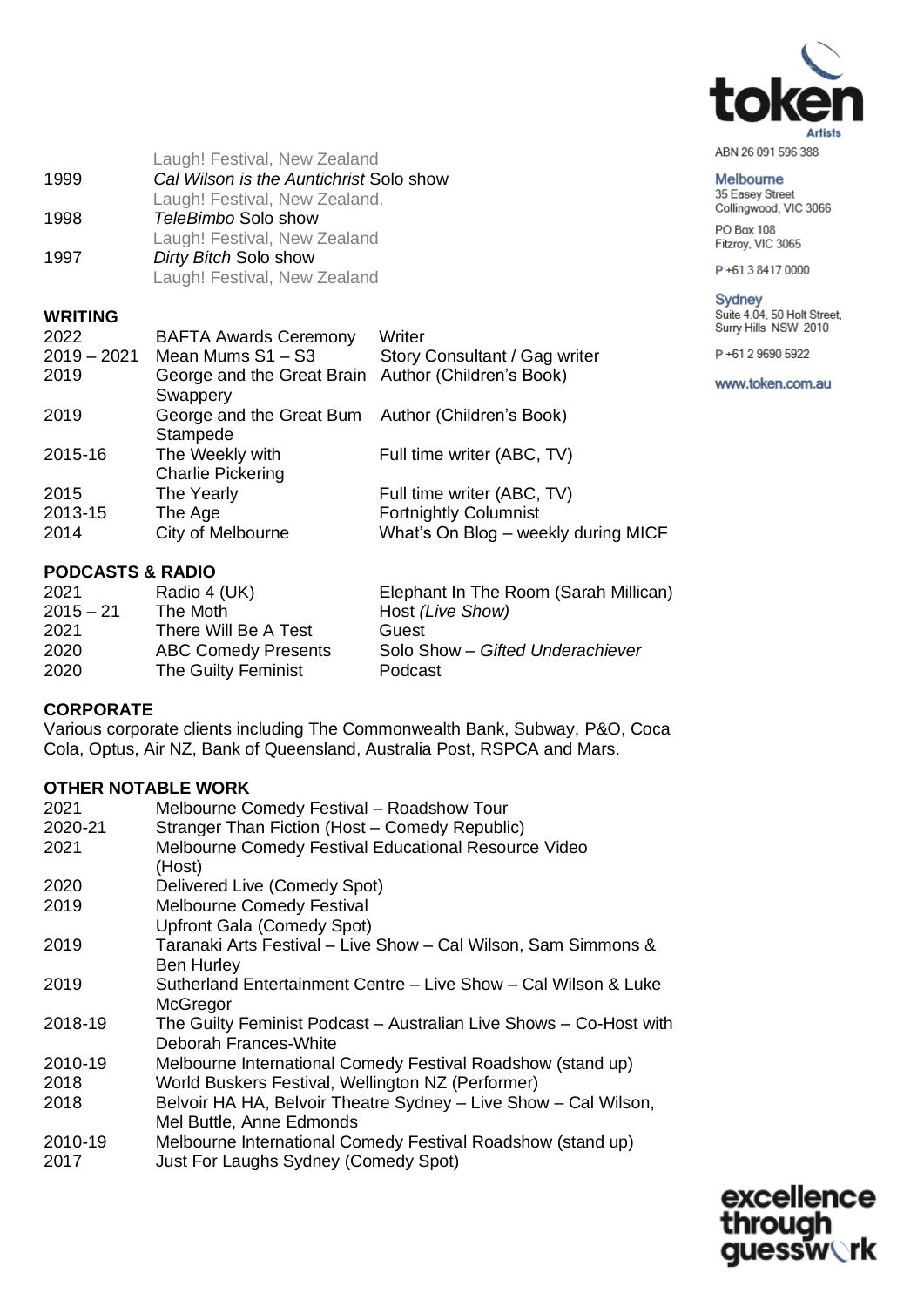

Melbourne 35 Easey Street<br>Collingwood, VIC 3066

PO Box 108 Fitzroy, VIC 3065

P+61384170000

Sydney Suite 4.04, 50 Holt Street, Surry Hills NSW 2010

P+61 2 9690 5922

www.token.com.au

|      | Laugh! Festival, New Zealand            |
|------|-----------------------------------------|
| 1999 | Cal Wilson is the Auntichrist Solo show |
|      | Laugh! Festival, New Zealand.           |
| 1998 | TeleBimbo Solo show                     |
|      | Laugh! Festival, New Zealand            |
| 1997 | Dirty Bitch Solo show                   |
|      | Laugh! Festival, New Zealand            |
|      |                                         |

# **WRITING**

| <b>BAFTA Awards Ceremony</b>                                    | Writer                              |
|-----------------------------------------------------------------|-------------------------------------|
|                                                                 | Story Consultant / Gag writer       |
| George and the Great Brain Author (Children's Book)<br>Swappery |                                     |
| George and the Great Bum Author (Children's Book)<br>Stampede   |                                     |
| The Weekly with<br><b>Charlie Pickering</b>                     | Full time writer (ABC, TV)          |
| The Yearly                                                      | Full time writer (ABC, TV)          |
| The Age                                                         | <b>Fortnightly Columnist</b>        |
| City of Melbourne                                               | What's On Blog - weekly during MICF |
|                                                                 | Mean Mums S1 - S3                   |

## **PODCASTS & RADIO**

| 2021        | Radio 4 (UK)               | Elephant In The Room (Sarah Millican) |
|-------------|----------------------------|---------------------------------------|
| $2015 - 21$ | The Moth                   | Host (Live Show)                      |
| 2021        | There Will Be A Test       | Guest                                 |
| 2020        | <b>ABC Comedy Presents</b> | Solo Show - Gifted Underachiever      |
| 2020        | The Guilty Feminist        | Podcast                               |

# **CORPORATE**

Various corporate clients including The Commonwealth Bank, Subway, P&O, Coca Cola, Optus, Air NZ, Bank of Queensland, Australia Post, RSPCA and Mars.

## **OTHER NOTABLE WORK**

| 2021    | Melbourne Comedy Festival - Roadshow Tour                                                   |
|---------|---------------------------------------------------------------------------------------------|
| 2020-21 | Stranger Than Fiction (Host - Comedy Republic)                                              |
| 2021    | Melbourne Comedy Festival Educational Resource Video<br>(Host)                              |
| 2020    | Delivered Live (Comedy Spot)                                                                |
| 2019    | <b>Melbourne Comedy Festival</b>                                                            |
|         | Upfront Gala (Comedy Spot)                                                                  |
| 2019    | Taranaki Arts Festival - Live Show - Cal Wilson, Sam Simmons &<br><b>Ben Hurley</b>         |
| 2019    | Sutherland Entertainment Centre - Live Show - Cal Wilson & Luke<br>McGregor                 |
| 2018-19 | The Guilty Feminist Podcast - Australian Live Shows - Co-Host with<br>Deborah Frances-White |
| 2010-19 | Melbourne International Comedy Festival Roadshow (stand up)                                 |
| 2018    | World Buskers Festival, Wellington NZ (Performer)                                           |
| 2018    | Belvoir HA HA, Belvoir Theatre Sydney - Live Show - Cal Wilson,<br>Mel Buttle, Anne Edmonds |
| 2010-19 | Melbourne International Comedy Festival Roadshow (stand up)                                 |
| 2017    | Just For Laughs Sydney (Comedy Spot)                                                        |